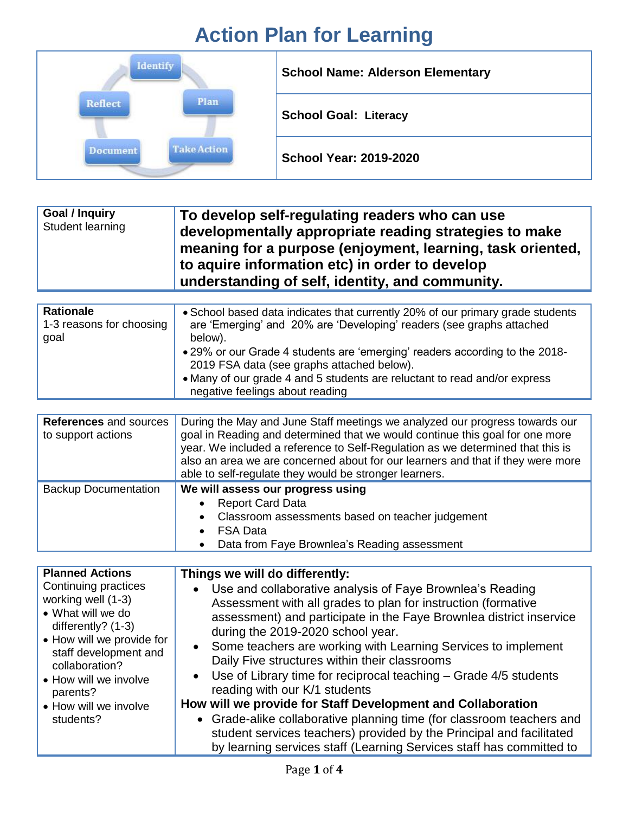## **Action Plan for Learning**

| Identify                       | <b>School Name: Alderson Elementary</b> |
|--------------------------------|-----------------------------------------|
| Plan<br>Reflect                | <b>School Goal: Literacy</b>            |
| <b>Take Action</b><br>Document | <b>School Year: 2019-2020</b>           |

| <b>Goal / Inquiry</b><br>Student learning | To develop self-regulating readers who can use<br>developmentally appropriate reading strategies to make<br>meaning for a purpose (enjoyment, learning, task oriented,<br>to aquire information etc) in order to develop<br>understanding of self, identity, and community. |
|-------------------------------------------|-----------------------------------------------------------------------------------------------------------------------------------------------------------------------------------------------------------------------------------------------------------------------------|
|-------------------------------------------|-----------------------------------------------------------------------------------------------------------------------------------------------------------------------------------------------------------------------------------------------------------------------------|

| • 29% or our Grade 4 students are 'emerging' readers according to the 2018-<br>2019 FSA data (see graphs attached below).<br>• Many of our grade 4 and 5 students are reluctant to read and/or express<br>negative feelings about reading | <b>Rationale</b><br>1-3 reasons for choosing<br>goal | • School based data indicates that currently 20% of our primary grade students<br>are 'Emerging' and 20% are 'Developing' readers (see graphs attached<br>below). |
|-------------------------------------------------------------------------------------------------------------------------------------------------------------------------------------------------------------------------------------------|------------------------------------------------------|-------------------------------------------------------------------------------------------------------------------------------------------------------------------|
|-------------------------------------------------------------------------------------------------------------------------------------------------------------------------------------------------------------------------------------------|------------------------------------------------------|-------------------------------------------------------------------------------------------------------------------------------------------------------------------|

| <b>References and sources</b><br>to support actions | During the May and June Staff meetings we analyzed our progress towards our<br>goal in Reading and determined that we would continue this goal for one more<br>year. We included a reference to Self-Regulation as we determined that this is<br>also an area we are concerned about for our learners and that if they were more<br>able to self-regulate they would be stronger learners. |
|-----------------------------------------------------|--------------------------------------------------------------------------------------------------------------------------------------------------------------------------------------------------------------------------------------------------------------------------------------------------------------------------------------------------------------------------------------------|
| <b>Backup Documentation</b>                         | We will assess our progress using<br><b>Report Card Data</b><br>• Classroom assessments based on teacher judgement<br><b>FSA Data</b>                                                                                                                                                                                                                                                      |

• Data from Faye Brownlea's Reading assessment

| <b>Planned Actions</b>                  | Things we will do differently:                                                                                                                                                                                        |
|-----------------------------------------|-----------------------------------------------------------------------------------------------------------------------------------------------------------------------------------------------------------------------|
| Continuing practices                    | • Use and collaborative analysis of Faye Brownlea's Reading                                                                                                                                                           |
| working well (1-3)<br>• What will we do | Assessment with all grades to plan for instruction (formative                                                                                                                                                         |
| differently? $(1-3)$                    | assessment) and participate in the Faye Brownlea district inservice                                                                                                                                                   |
| • How will we provide for               | during the 2019-2020 school year.                                                                                                                                                                                     |
| staff development and                   | • Some teachers are working with Learning Services to implement                                                                                                                                                       |
| collaboration?                          | Daily Five structures within their classrooms                                                                                                                                                                         |
| • How will we involve                   | • Use of Library time for reciprocal teaching $-$ Grade 4/5 students                                                                                                                                                  |
| parents?                                | reading with our K/1 students                                                                                                                                                                                         |
| • How will we involve                   | How will we provide for Staff Development and Collaboration                                                                                                                                                           |
| students?                               | • Grade-alike collaborative planning time (for classroom teachers and<br>student services teachers) provided by the Principal and facilitated<br>by learning services staff (Learning Services staff has committed to |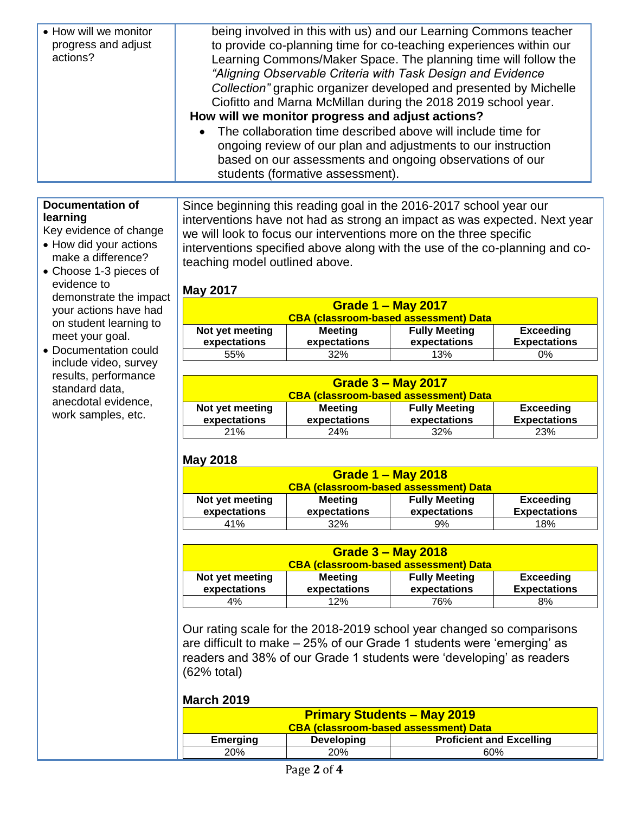| • How will we monitor<br>progress and adjust<br>actions? | being involved in this with us) and our Learning Commons teacher<br>to provide co-planning time for co-teaching experiences within our<br>Learning Commons/Maker Space. The planning time will follow the<br>"Aligning Observable Criteria with Task Design and Evidence<br>Collection" graphic organizer developed and presented by Michelle<br>Ciofitto and Marna McMillan during the 2018 2019 school year.<br>How will we monitor progress and adjust actions?<br>The collaboration time described above will include time for<br>$\bullet$<br>ongoing review of our plan and adjustments to our instruction<br>based on our assessments and ongoing observations of our |
|----------------------------------------------------------|------------------------------------------------------------------------------------------------------------------------------------------------------------------------------------------------------------------------------------------------------------------------------------------------------------------------------------------------------------------------------------------------------------------------------------------------------------------------------------------------------------------------------------------------------------------------------------------------------------------------------------------------------------------------------|
|                                                          | students (formative assessment).                                                                                                                                                                                                                                                                                                                                                                                                                                                                                                                                                                                                                                             |

#### **Documentation of learning**

Key evidence of change • How did your actions make a difference?

Choose 1-3 pieces of

demonstrate the impact your actions have had on student learning to meet your goal. • Documentation could include video, survey results, performance

evidence to

standard data, anecdotal evidence, work samples, etc.

Since beginning this reading goal in the 2016-2017 school year our interventions have not had as strong an impact as was expected. Next year we will look to focus our interventions more on the three specific interventions specified above along with the use of the co-planning and coteaching model outlined above.

#### **May 2017**

| <b>Grade 1 - May 2017</b><br><b>CBA (classroom-based assessment) Data</b> |                         |                                      |                                         |
|---------------------------------------------------------------------------|-------------------------|--------------------------------------|-----------------------------------------|
| Not yet meeting<br>expectations                                           | Meeting<br>expectations | <b>Fully Meeting</b><br>expectations | <b>Exceeding</b><br><b>Expectations</b> |
| 55%                                                                       | 32%                     | 13%                                  | 0%                                      |

| Grade $3 -$ May 2017<br><b>CBA (classroom-based assessment) Data</b> |                                |                                      |                                         |
|----------------------------------------------------------------------|--------------------------------|--------------------------------------|-----------------------------------------|
| Not yet meeting<br>expectations                                      | <b>Meeting</b><br>expectations | <b>Fully Meeting</b><br>expectations | <b>Exceeding</b><br><b>Expectations</b> |
| <b>21%</b>                                                           | <b>24%</b>                     | 32%                                  | <b>23%</b>                              |

### **May 2018**

| Grade $1 -$ May 2018                         |                |                      |                     |
|----------------------------------------------|----------------|----------------------|---------------------|
| <b>CBA (classroom-based assessment) Data</b> |                |                      |                     |
| Not yet meeting                              | <b>Meeting</b> | <b>Fully Meeting</b> | <b>Exceeding</b>    |
| expectations                                 | expectations   | expectations         | <b>Expectations</b> |
| 41%                                          | 32%            | 9%                   | 18%                 |

| Grade $3 -$ May 2018            |                                |                                              |                                         |
|---------------------------------|--------------------------------|----------------------------------------------|-----------------------------------------|
|                                 |                                | <b>CBA (classroom-based assessment) Data</b> |                                         |
| Not yet meeting<br>expectations | <b>Meeting</b><br>expectations | <b>Fully Meeting</b><br>expectations         | <b>Exceeding</b><br><b>Expectations</b> |
|                                 |                                |                                              |                                         |
| 4%                              | 12%                            | 76%                                          | 8%                                      |

Our rating scale for the 2018-2019 school year changed so comparisons are difficult to make – 25% of our Grade 1 students were 'emerging' as readers and 38% of our Grade 1 students were 'developing' as readers (62% total)

#### **March 2019**

| <b>Primary Students - May 2019</b>           |                   |                                 |
|----------------------------------------------|-------------------|---------------------------------|
| <b>CBA (classroom-based assessment) Data</b> |                   |                                 |
| <b>Emerging</b>                              | <b>Developing</b> | <b>Proficient and Excelling</b> |
| <b>20%</b>                                   | 20%               | 60%                             |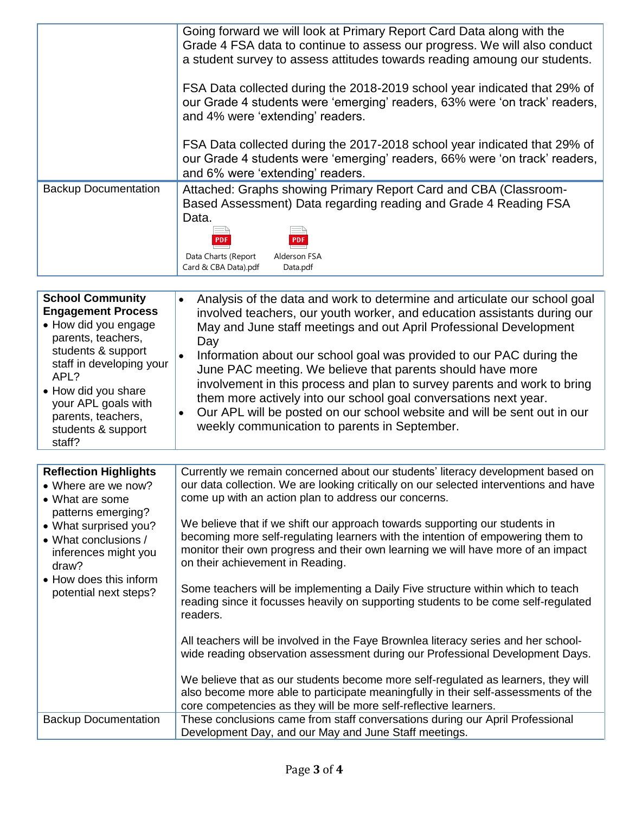|                                                                                                                                                                                                                                                                  | Going forward we will look at Primary Report Card Data along with the<br>Grade 4 FSA data to continue to assess our progress. We will also conduct<br>a student survey to assess attitudes towards reading amoung our students.<br>FSA Data collected during the 2018-2019 school year indicated that 29% of<br>our Grade 4 students were 'emerging' readers, 63% were 'on track' readers,<br>and 4% were 'extending' readers.<br>FSA Data collected during the 2017-2018 school year indicated that 29% of<br>our Grade 4 students were 'emerging' readers, 66% were 'on track' readers,<br>and 6% were 'extending' readers.                                                                                                                                                                                                                                                                                                                                                                                                                                                                                                                                                                                          |
|------------------------------------------------------------------------------------------------------------------------------------------------------------------------------------------------------------------------------------------------------------------|------------------------------------------------------------------------------------------------------------------------------------------------------------------------------------------------------------------------------------------------------------------------------------------------------------------------------------------------------------------------------------------------------------------------------------------------------------------------------------------------------------------------------------------------------------------------------------------------------------------------------------------------------------------------------------------------------------------------------------------------------------------------------------------------------------------------------------------------------------------------------------------------------------------------------------------------------------------------------------------------------------------------------------------------------------------------------------------------------------------------------------------------------------------------------------------------------------------------|
| <b>Backup Documentation</b>                                                                                                                                                                                                                                      | Attached: Graphs showing Primary Report Card and CBA (Classroom-<br>Based Assessment) Data regarding reading and Grade 4 Reading FSA<br>Data.<br>PDF<br>PDF<br>Data Charts (Report<br>Alderson FSA<br>Card & CBA Data).pdf<br>Data.pdf                                                                                                                                                                                                                                                                                                                                                                                                                                                                                                                                                                                                                                                                                                                                                                                                                                                                                                                                                                                 |
| <b>School Community</b><br><b>Engagement Process</b><br>• How did you engage<br>parents, teachers,<br>students & support<br>staff in developing your<br>APL?<br>• How did you share<br>your APL goals with<br>parents, teachers,<br>students & support<br>staff? | Analysis of the data and work to determine and articulate our school goal<br>$\bullet$<br>involved teachers, our youth worker, and education assistants during our<br>May and June staff meetings and out April Professional Development<br>Day<br>Information about our school goal was provided to our PAC during the<br>June PAC meeting. We believe that parents should have more<br>involvement in this process and plan to survey parents and work to bring<br>them more actively into our school goal conversations next year.<br>Our APL will be posted on our school website and will be sent out in our<br>٠<br>weekly communication to parents in September.                                                                                                                                                                                                                                                                                                                                                                                                                                                                                                                                                |
| <b>Reflection Highlights</b><br>• Where are we now?<br>• What are some<br>patterns emerging?<br>• What surprised you?<br>• What conclusions /<br>inferences might you<br>draw?<br>• How does this inform<br>potential next steps?<br><b>Backup Documentation</b> | Currently we remain concerned about our students' literacy development based on<br>our data collection. We are looking critically on our selected interventions and have<br>come up with an action plan to address our concerns.<br>We believe that if we shift our approach towards supporting our students in<br>becoming more self-regulating learners with the intention of empowering them to<br>monitor their own progress and their own learning we will have more of an impact<br>on their achievement in Reading.<br>Some teachers will be implementing a Daily Five structure within which to teach<br>reading since it focusses heavily on supporting students to be come self-regulated<br>readers.<br>All teachers will be involved in the Faye Brownlea literacy series and her school-<br>wide reading observation assessment during our Professional Development Days.<br>We believe that as our students become more self-regulated as learners, they will<br>also become more able to participate meaningfully in their self-assessments of the<br>core competencies as they will be more self-reflective learners.<br>These conclusions came from staff conversations during our April Professional |
|                                                                                                                                                                                                                                                                  | Development Day, and our May and June Staff meetings.                                                                                                                                                                                                                                                                                                                                                                                                                                                                                                                                                                                                                                                                                                                                                                                                                                                                                                                                                                                                                                                                                                                                                                  |